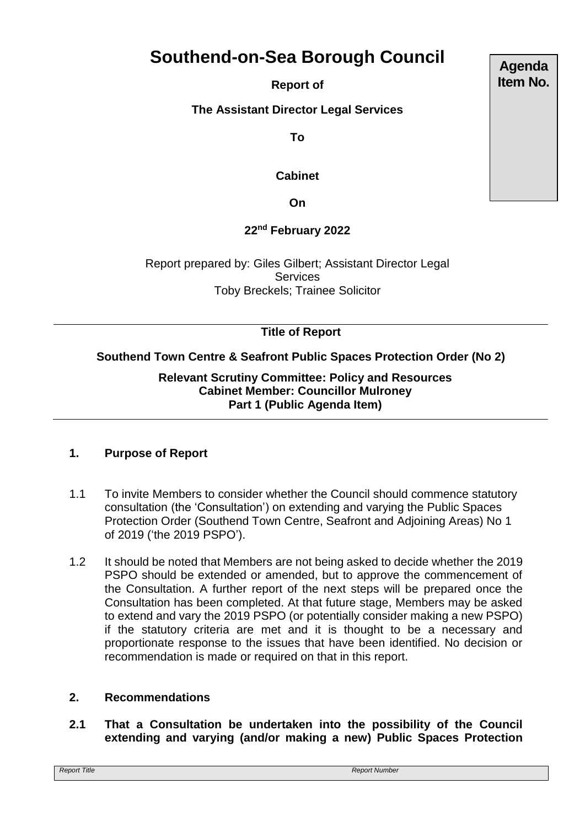# **Southend-on-Sea Borough Council**

**Report of** 

**The Assistant Director Legal Services**

**To**

## **Cabinet**

**On**

# **22nd February 2022**

Report prepared by: Giles Gilbert; Assistant Director Legal **Services** Toby Breckels; Trainee Solicitor

# **Title of Report**

# **Southend Town Centre & Seafront Public Spaces Protection Order (No 2)**

**Relevant Scrutiny Committee: Policy and Resources Cabinet Member: Councillor Mulroney Part 1 (Public Agenda Item)** 

## **1. Purpose of Report**

- 1.1 To invite Members to consider whether the Council should commence statutory consultation (the 'Consultation') on extending and varying the Public Spaces Protection Order (Southend Town Centre, Seafront and Adjoining Areas) No 1 of 2019 ('the 2019 PSPO').
- 1.2 It should be noted that Members are not being asked to decide whether the 2019 PSPO should be extended or amended, but to approve the commencement of the Consultation. A further report of the next steps will be prepared once the Consultation has been completed. At that future stage, Members may be asked to extend and vary the 2019 PSPO (or potentially consider making a new PSPO) if the statutory criteria are met and it is thought to be a necessary and proportionate response to the issues that have been identified. No decision or recommendation is made or required on that in this report.

## **2. Recommendations**

**2.1 That a Consultation be undertaken into the possibility of the Council extending and varying (and/or making a new) Public Spaces Protection** 

**Agenda Item No.**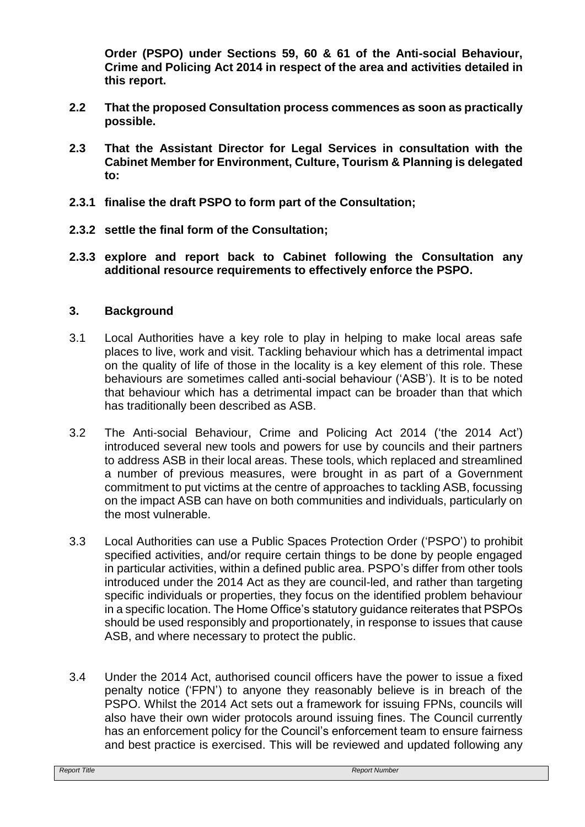**Order (PSPO) under Sections 59, 60 & 61 of the Anti-social Behaviour, Crime and Policing Act 2014 in respect of the area and activities detailed in this report.**

- **2.2 That the proposed Consultation process commences as soon as practically possible.**
- **2.3 That the Assistant Director for Legal Services in consultation with the Cabinet Member for Environment, Culture, Tourism & Planning is delegated to:**
- **2.3.1 finalise the draft PSPO to form part of the Consultation;**
- **2.3.2 settle the final form of the Consultation;**
- **2.3.3 explore and report back to Cabinet following the Consultation any additional resource requirements to effectively enforce the PSPO.**

#### **3. Background**

- 3.1 Local Authorities have a key role to play in helping to make local areas safe places to live, work and visit. Tackling behaviour which has a detrimental impact on the quality of life of those in the locality is a key element of this role. These behaviours are sometimes called anti-social behaviour ('ASB'). It is to be noted that behaviour which has a detrimental impact can be broader than that which has traditionally been described as ASB.
- 3.2 The Anti-social Behaviour, Crime and Policing Act 2014 ('the 2014 Act') introduced several new tools and powers for use by councils and their partners to address ASB in their local areas. These tools, which replaced and streamlined a number of previous measures, were brought in as part of a Government commitment to put victims at the centre of approaches to tackling ASB, focussing on the impact ASB can have on both communities and individuals, particularly on the most vulnerable.
- 3.3 Local Authorities can use a Public Spaces Protection Order ('PSPO') to prohibit specified activities, and/or require certain things to be done by people engaged in particular activities, within a defined public area. PSPO's differ from other tools introduced under the 2014 Act as they are council-led, and rather than targeting specific individuals or properties, they focus on the identified problem behaviour in a specific location. The Home Office's statutory guidance reiterates that PSPOs should be used responsibly and proportionately, in response to issues that cause ASB, and where necessary to protect the public.
- 3.4 Under the 2014 Act, authorised council officers have the power to issue a fixed penalty notice ('FPN') to anyone they reasonably believe is in breach of the PSPO. Whilst the 2014 Act sets out a framework for issuing FPNs, councils will also have their own wider protocols around issuing fines. The Council currently has an enforcement policy for the Council's enforcement team to ensure fairness and best practice is exercised. This will be reviewed and updated following any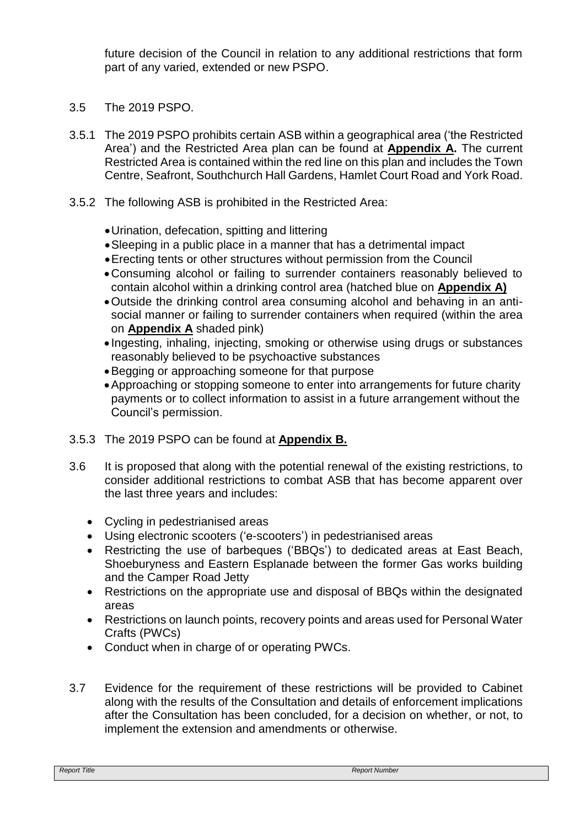future decision of the Council in relation to any additional restrictions that form part of any varied, extended or new PSPO.

- 3.5 The 2019 PSPO.
- 3.5.1 The 2019 PSPO prohibits certain ASB within a geographical area ('the Restricted Area') and the Restricted Area plan can be found at **Appendix A.** The current Restricted Area is contained within the red line on this plan and includes the Town Centre, Seafront, Southchurch Hall Gardens, Hamlet Court Road and York Road.
- 3.5.2 The following ASB is prohibited in the Restricted Area:
	- Urination, defecation, spitting and littering
	- Sleeping in a public place in a manner that has a detrimental impact
	- Erecting tents or other structures without permission from the Council
	- Consuming alcohol or failing to surrender containers reasonably believed to contain alcohol within a drinking control area (hatched blue on **Appendix A)**
	- Outside the drinking control area consuming alcohol and behaving in an antisocial manner or failing to surrender containers when required (within the area on **Appendix A** shaded pink)
	- Ingesting, inhaling, injecting, smoking or otherwise using drugs or substances reasonably believed to be psychoactive substances
	- Begging or approaching someone for that purpose
	- Approaching or stopping someone to enter into arrangements for future charity payments or to collect information to assist in a future arrangement without the Council's permission.
- 3.5.3 The 2019 PSPO can be found at **Appendix B.**
- 3.6 It is proposed that along with the potential renewal of the existing restrictions, to consider additional restrictions to combat ASB that has become apparent over the last three years and includes:
	- Cycling in pedestrianised areas
	- Using electronic scooters ('e-scooters') in pedestrianised areas
	- Restricting the use of barbeques ('BBQs') to dedicated areas at East Beach, Shoeburyness and Eastern Esplanade between the former Gas works building and the Camper Road Jetty
	- Restrictions on the appropriate use and disposal of BBQs within the designated areas
	- Restrictions on launch points, recovery points and areas used for Personal Water Crafts (PWCs)
	- Conduct when in charge of or operating PWCs.
- 3.7 Evidence for the requirement of these restrictions will be provided to Cabinet along with the results of the Consultation and details of enforcement implications after the Consultation has been concluded, for a decision on whether, or not, to implement the extension and amendments or otherwise.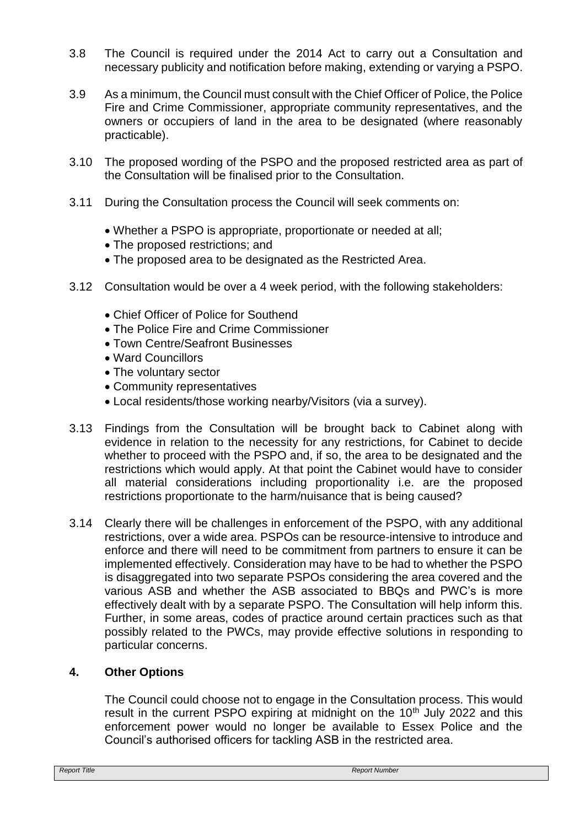- 3.8 The Council is required under the 2014 Act to carry out a Consultation and necessary publicity and notification before making, extending or varying a PSPO.
- 3.9 As a minimum, the Council must consult with the Chief Officer of Police, the Police Fire and Crime Commissioner, appropriate community representatives, and the owners or occupiers of land in the area to be designated (where reasonably practicable).
- 3.10 The proposed wording of the PSPO and the proposed restricted area as part of the Consultation will be finalised prior to the Consultation.
- 3.11 During the Consultation process the Council will seek comments on:
	- Whether a PSPO is appropriate, proportionate or needed at all;
	- The proposed restrictions; and
	- The proposed area to be designated as the Restricted Area.
- 3.12 Consultation would be over a 4 week period, with the following stakeholders:
	- Chief Officer of Police for Southend
	- The Police Fire and Crime Commissioner
	- Town Centre/Seafront Businesses
	- Ward Councillors
	- The voluntary sector
	- Community representatives
	- Local residents/those working nearby/Visitors (via a survey).
- 3.13 Findings from the Consultation will be brought back to Cabinet along with evidence in relation to the necessity for any restrictions, for Cabinet to decide whether to proceed with the PSPO and, if so, the area to be designated and the restrictions which would apply. At that point the Cabinet would have to consider all material considerations including proportionality i.e. are the proposed restrictions proportionate to the harm/nuisance that is being caused?
- 3.14 Clearly there will be challenges in enforcement of the PSPO, with any additional restrictions, over a wide area. PSPOs can be resource-intensive to introduce and enforce and there will need to be commitment from partners to ensure it can be implemented effectively. Consideration may have to be had to whether the PSPO is disaggregated into two separate PSPOs considering the area covered and the various ASB and whether the ASB associated to BBQs and PWC's is more effectively dealt with by a separate PSPO. The Consultation will help inform this. Further, in some areas, codes of practice around certain practices such as that possibly related to the PWCs, may provide effective solutions in responding to particular concerns.

## **4. Other Options**

The Council could choose not to engage in the Consultation process. This would result in the current PSPO expiring at midnight on the  $10<sup>th</sup>$  July 2022 and this enforcement power would no longer be available to Essex Police and the Council's authorised officers for tackling ASB in the restricted area.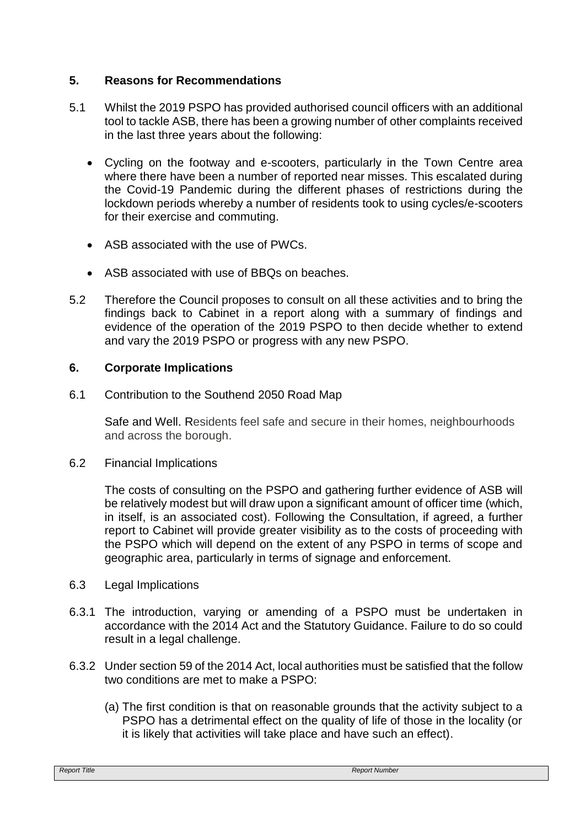## **5. Reasons for Recommendations**

- 5.1 Whilst the 2019 PSPO has provided authorised council officers with an additional tool to tackle ASB, there has been a growing number of other complaints received in the last three years about the following:
	- Cycling on the footway and e-scooters, particularly in the Town Centre area where there have been a number of reported near misses. This escalated during the Covid-19 Pandemic during the different phases of restrictions during the lockdown periods whereby a number of residents took to using cycles/e-scooters for their exercise and commuting.
	- ASB associated with the use of PWCs.
	- ASB associated with use of BBQs on beaches.
- 5.2 Therefore the Council proposes to consult on all these activities and to bring the findings back to Cabinet in a report along with a summary of findings and evidence of the operation of the 2019 PSPO to then decide whether to extend and vary the 2019 PSPO or progress with any new PSPO.

#### **6. Corporate Implications**

6.1 Contribution to the Southend 2050 Road Map

Safe and Well. Residents feel safe and secure in their homes, neighbourhoods and across the borough.

6.2 Financial Implications

The costs of consulting on the PSPO and gathering further evidence of ASB will be relatively modest but will draw upon a significant amount of officer time (which, in itself, is an associated cost). Following the Consultation, if agreed, a further report to Cabinet will provide greater visibility as to the costs of proceeding with the PSPO which will depend on the extent of any PSPO in terms of scope and geographic area, particularly in terms of signage and enforcement.

- 6.3 Legal Implications
- 6.3.1 The introduction, varying or amending of a PSPO must be undertaken in accordance with the 2014 Act and the Statutory Guidance. Failure to do so could result in a legal challenge.
- 6.3.2 Under section 59 of the 2014 Act, local authorities must be satisfied that the follow two conditions are met to make a PSPO:
	- (a) The first condition is that on reasonable grounds that the activity subject to a PSPO has a detrimental effect on the quality of life of those in the locality (or it is likely that activities will take place and have such an effect).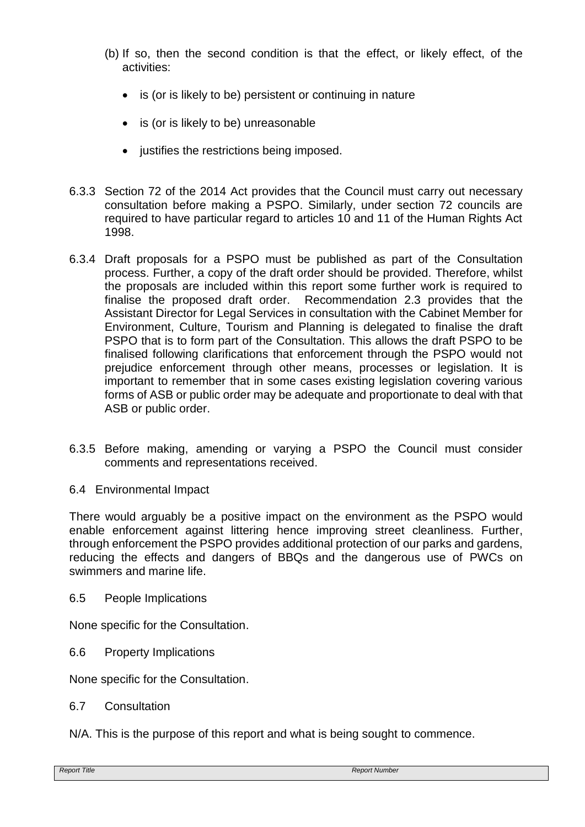- (b) If so, then the second condition is that the effect, or likely effect, of the activities:
	- is (or is likely to be) persistent or continuing in nature
	- is (or is likely to be) unreasonable
	- justifies the restrictions being imposed.
- 6.3.3 Section 72 of the 2014 Act provides that the Council must carry out necessary consultation before making a PSPO. Similarly, under section 72 councils are required to have particular regard to articles 10 and 11 of the Human Rights Act 1998.
- 6.3.4 Draft proposals for a PSPO must be published as part of the Consultation process. Further, a copy of the draft order should be provided. Therefore, whilst the proposals are included within this report some further work is required to finalise the proposed draft order. Recommendation 2.3 provides that the Assistant Director for Legal Services in consultation with the Cabinet Member for Environment, Culture, Tourism and Planning is delegated to finalise the draft PSPO that is to form part of the Consultation. This allows the draft PSPO to be finalised following clarifications that enforcement through the PSPO would not prejudice enforcement through other means, processes or legislation. It is important to remember that in some cases existing legislation covering various forms of ASB or public order may be adequate and proportionate to deal with that ASB or public order.
- 6.3.5 Before making, amending or varying a PSPO the Council must consider comments and representations received.
- 6.4 Environmental Impact

There would arguably be a positive impact on the environment as the PSPO would enable enforcement against littering hence improving street cleanliness. Further, through enforcement the PSPO provides additional protection of our parks and gardens, reducing the effects and dangers of BBQs and the dangerous use of PWCs on swimmers and marine life.

6.5 People Implications

None specific for the Consultation.

6.6 Property Implications

None specific for the Consultation.

6.7 Consultation

N/A. This is the purpose of this report and what is being sought to commence.